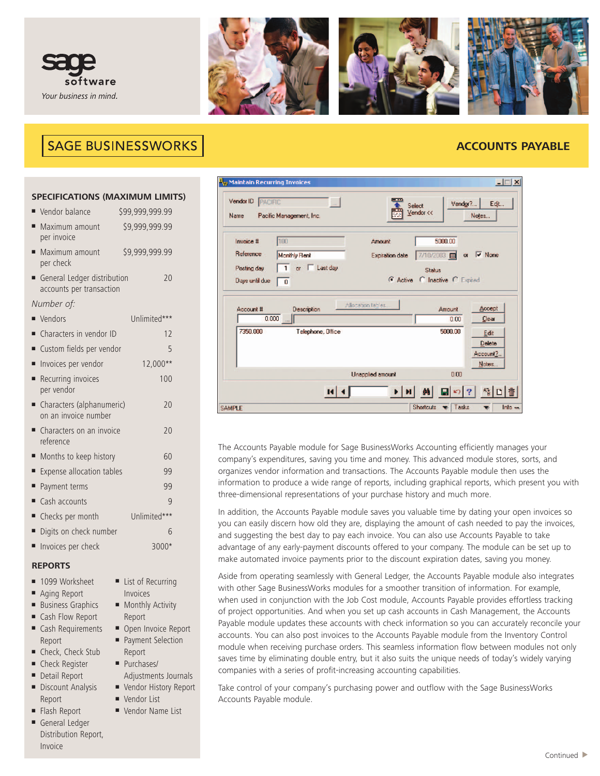



# **SAGE BUSINESSWORKS**

# **ACCOUNTS PAYABLE**

# **SPECIFICATIONS (MAXIMUM LIMITS)**

| Months to keep history<br>60 |  |  |
|------------------------------|--|--|
|                              |  |  |
|                              |  |  |
|                              |  |  |
|                              |  |  |
|                              |  |  |
|                              |  |  |
|                              |  |  |

# **REPORTS**

- **■** 1099 Worksheet
- Aging Report
- Business Graphics
- **■** Cash Flow Report
- **■** Cash Requirements Report
- **■** Check, Check Stub
- **■** Check Register
- Detail Report
- **■** Discount Analysis Report
- **■** Flash Report
- **■** General Ledger Distribution Report, Invoice
- **■** List of Recurring Invoices
- Monthly Activity Report
- Open Invoice Report **■** Payment Selection
- Report **■** Purchases/
- Adjustments Journals
- **■** Vendor History Report
- **■** Vendor List
- **■** Vendor Name List

| <mark>B<sub>w</sub> Maintain Recurring Invoices</mark><br>Vendor ID<br>PACIFIC<br>Name | $\sim$<br>Pacific Management, Inc.                          | $ \Box$ $\times$<br>- -<br>Edit<br>Vendor?<br>Select<br>Vendor <<<br>Notes                                                                         |
|----------------------------------------------------------------------------------------|-------------------------------------------------------------|----------------------------------------------------------------------------------------------------------------------------------------------------|
| Invoice #<br>Reference<br>Posting day<br>Days until due                                | 100<br><b>Monthly Rent</b><br>or   Last day<br>$\mathbf{0}$ | 5000.00<br>Amount<br>7/10/2003<br>$\overline{\triangledown}$ None<br><b>Expiration date</b><br>$\alpha$<br>Status<br>G Active C Inactive C Expired |
| Account #<br>7350,000                                                                  | Description<br>0.000<br>.<br><br>Telephone, Office          | Allocation tables.<br>Accept<br>Amount<br>Clear<br>0.00<br>5000,00<br>Edit<br>Delete                                                               |
|                                                                                        |                                                             | Account?<br>Notes<br><b>Unapplied amount</b><br>0.00                                                                                               |
| <b>SAMPLE</b>                                                                          |                                                             | $A_R^2$<br>鵺<br><b>Shortcuts</b><br>Tasks<br>Info -                                                                                                |

The Accounts Payable module for Sage BusinessWorks Accounting efficiently manages your company's expenditures, saving you time and money. This advanced module stores, sorts, and organizes vendor information and transactions. The Accounts Payable module then uses the information to produce a wide range of reports, including graphical reports, which present you with three-dimensional representations of your purchase history and much more.

In addition, the Accounts Payable module saves you valuable time by dating your open invoices so you can easily discern how old they are, displaying the amount of cash needed to pay the invoices, and suggesting the best day to pay each invoice. You can also use Accounts Payable to take advantage of any early-payment discounts offered to your company. The module can be set up to make automated invoice payments prior to the discount expiration dates, saving you money.

Aside from operating seamlessly with General Ledger, the Accounts Payable module also integrates with other Sage BusinessWorks modules for a smoother transition of information. For example, when used in conjunction with the Job Cost module, Accounts Payable provides effortless tracking of project opportunities. And when you set up cash accounts in Cash Management, the Accounts Payable module updates these accounts with check information so you can accurately reconcile your accounts. You can also post invoices to the Accounts Payable module from the Inventory Control module when receiving purchase orders. This seamless information flow between modules not only saves time by eliminating double entry, but it also suits the unique needs of today's widely varying companies with a series of profit-increasing accounting capabilities.

Take control of your company's purchasing power and outflow with the Sage BusinessWorks Accounts Payable module.